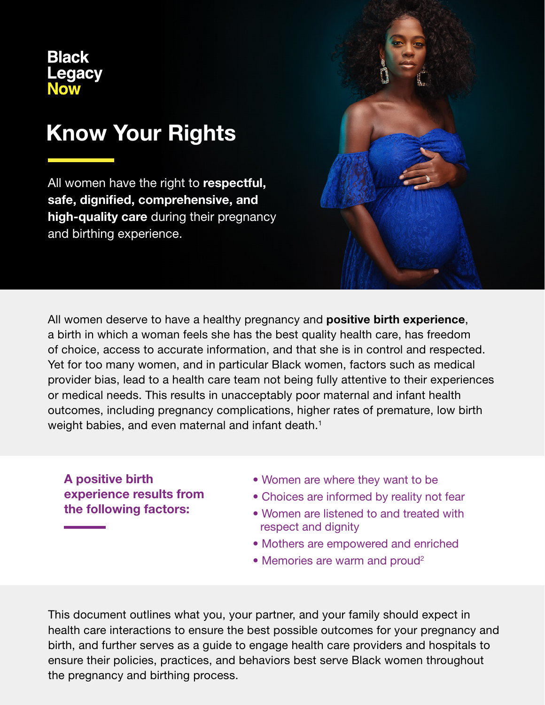**Black Legacy Now** 

# Know Your Rights

All women have the right to respectful, safe, dignified, comprehensive, and high-quality care during their pregnancy and birthing experience.

All women deserve to have a healthy pregnancy and **positive birth experience**, a birth in which a woman feels she has the best quality health care, has freedom of choice, access to accurate information, and that she is in control and respected. Yet for too many women, and in particular Black women, factors such as medical provider bias, lead to a health care team not being fully attentive to their experiences or medical needs. This results in unacceptably poor maternal and infant health outcomes, including pregnancy complications, higher rates of premature, low birth weight babies, and even maternal and infant death.<sup>1</sup>

A positive birth experience results from the following factors:

- Women are where they want to be
- Choices are informed by reality not fear
- Women are listened to and treated with respect and dignity
- Mothers are empowered and enriched
- Memories are warm and proud<sup>2</sup>

This document outlines what you, your partner, and your family should expect in health care interactions to ensure the best possible outcomes for your pregnancy and birth, and further serves as a guide to engage health care providers and hospitals to ensure their policies, practices, and behaviors best serve Black women throughout the pregnancy and birthing process.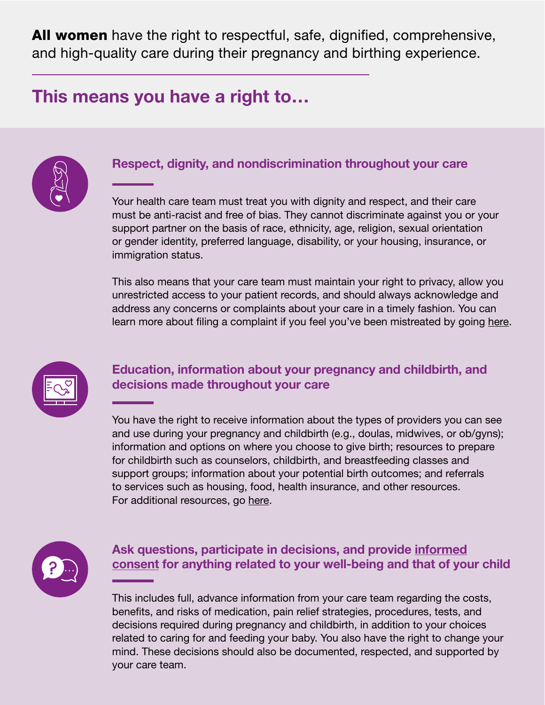All women have the right to respectful, safe, dignified, comprehensive, and high-quality care during their pregnancy and birthing experience.

## This means you have a right to…



#### Respect, dignity, and nondiscrimination throughout your care

Your health care team must treat you with dignity and respect, and their care must be anti-racist and free of bias. They cannot discriminate against you or your support partner on the basis of race, ethnicity, age, religion, sexual orientation or gender identity, preferred language, disability, or your housing, insurance, or immigration status.

This also means that your care team must maintain your right to privacy, allow you unrestricted access to your patient records, and should always acknowledge and address any concerns or complaints about your care in a timely fashion. You can learn more about filing a complaint if you feel you've been mistreated by going [here.](https://blacklegacynowsd.com/current-future-moms/)



#### Education, information about your pregnancy and childbirth, and decisions made throughout your care

You have the right to receive information about the types of providers you can see and use during your pregnancy and childbirth (e.g., doulas, midwives, or ob/gyns); information and options on where you choose to give birth; resources to prepare for childbirth such as counselors, childbirth, and breastfeeding classes and support groups; information about your potential birth outcomes; and referrals to services such as housing, food, health insurance, and other resources. For additional resources, go [here](https://blacklegacynowsd.com/current-future-moms/).



#### Ask questions, participate in decisions, and provide [informed](http://www.ama-assn.org/delivering-care/ethics/informed-consent) [consent](http://www.ama-assn.org/delivering-care/ethics/informed-consent) for anything related to your well-being and that of your child

This includes full, advance information from your care team regarding the costs, benefits, and risks of medication, pain relief strategies, procedures, tests, and decisions required during pregnancy and childbirth, in addition to your choices related to caring for and feeding your baby. You also have the right to change your mind. These decisions should also be documented, respected, and supported by your care team.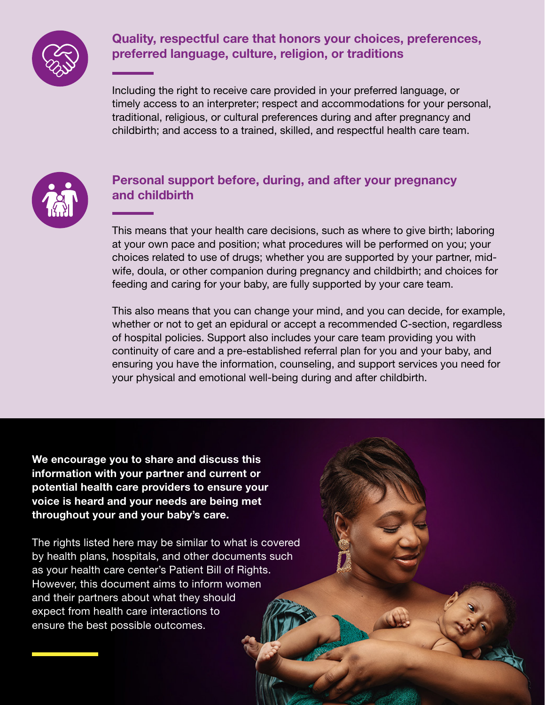

### Quality, respectful care that honors your choices, preferences, preferred language, culture, religion, or traditions

Including the right to receive care provided in your preferred language, or timely access to an interpreter; respect and accommodations for your personal, traditional, religious, or cultural preferences during and after pregnancy and childbirth; and access to a trained, skilled, and respectful health care team.



#### Personal support before, during, and after your pregnancy and childbirth

This means that your health care decisions, such as where to give birth; laboring at your own pace and position; what procedures will be performed on you; your choices related to use of drugs; whether you are supported by your partner, midwife, doula, or other companion during pregnancy and childbirth; and choices for feeding and caring for your baby, are fully supported by your care team.

This also means that you can change your mind, and you can decide, for example, whether or not to get an epidural or accept a recommended C-section, regardless of hospital policies. Support also includes your care team providing you with continuity of care and a pre-established referral plan for you and your baby, and ensuring you have the information, counseling, and support services you need for your physical and emotional well-being during and after childbirth.

We encourage you to share and discuss this information with your partner and current or potential health care providers to ensure your voice is heard and your needs are being met throughout your and your baby's care.

The rights listed here may be similar to what is covered by health plans, hospitals, and other documents such as your health care center's Patient Bill of Rights. However, this document aims to inform women and their partners about what they should expect from health care interactions to ensure the best possible outcomes.